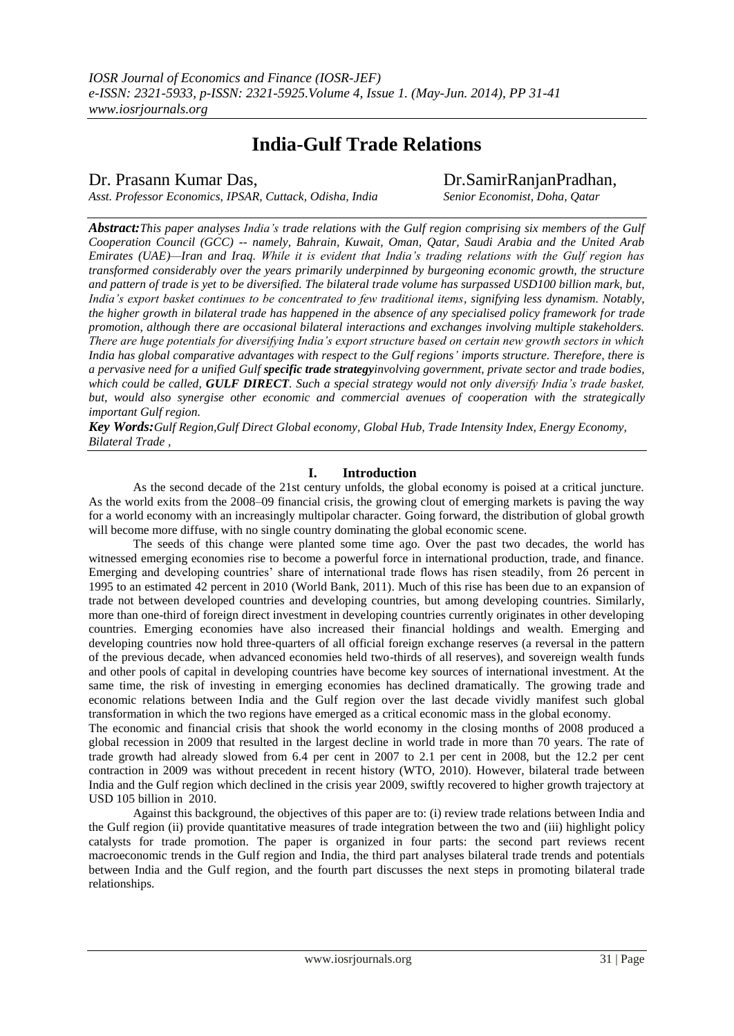# **India-Gulf Trade Relations**

Dr. Prasann Kumar Das, <br>Asst. Professor Economics, IPSAR, Cuttack, Odisha, India Senior Economist, Doha. Oatar

*Asst. Professor Economics, IPSAR, Cuttack, Odisha, India Senior Economist, Doha, Qatar*

*Abstract:This paper analyses India's trade relations with the Gulf region comprising six members of the Gulf Cooperation Council (GCC) -- namely, Bahrain, Kuwait, Oman, Qatar, Saudi Arabia and the United Arab Emirates (UAE)—Iran and Iraq. While it is evident that India's trading relations with the Gulf region has transformed considerably over the years primarily underpinned by burgeoning economic growth, the structure and pattern of trade is yet to be diversified. The bilateral trade volume has surpassed USD100 billion mark, but, India's export basket continues to be concentrated to few traditional items, signifying less dynamism. Notably, the higher growth in bilateral trade has happened in the absence of any specialised policy framework for trade promotion, although there are occasional bilateral interactions and exchanges involving multiple stakeholders. There are huge potentials for diversifying India's export structure based on certain new growth sectors in which India has global comparative advantages with respect to the Gulf regions' imports structure. Therefore, there is a pervasive need for a unified Gulf specific trade strategyinvolving government, private sector and trade bodies, which could be called, GULF DIRECT. Such a special strategy would not only diversify India's trade basket, but, would also synergise other economic and commercial avenues of cooperation with the strategically important Gulf region.*

*Key Words:Gulf Region,Gulf Direct Global economy, Global Hub, Trade Intensity Index, Energy Economy, Bilateral Trade ,* 

### **I. Introduction**

As the second decade of the 21st century unfolds, the global economy is poised at a critical juncture. As the world exits from the 2008–09 financial crisis, the growing clout of emerging markets is paving the way for a world economy with an increasingly multipolar character. Going forward, the distribution of global growth will become more diffuse, with no single country dominating the global economic scene.

The seeds of this change were planted some time ago. Over the past two decades, the world has witnessed emerging economies rise to become a powerful force in international production, trade, and finance. Emerging and developing countries" share of international trade flows has risen steadily, from 26 percent in 1995 to an estimated 42 percent in 2010 (World Bank, 2011). Much of this rise has been due to an expansion of trade not between developed countries and developing countries, but among developing countries. Similarly, more than one-third of foreign direct investment in developing countries currently originates in other developing countries. Emerging economies have also increased their financial holdings and wealth. Emerging and developing countries now hold three-quarters of all official foreign exchange reserves (a reversal in the pattern of the previous decade, when advanced economies held two-thirds of all reserves), and sovereign wealth funds and other pools of capital in developing countries have become key sources of international investment. At the same time, the risk of investing in emerging economies has declined dramatically. The growing trade and economic relations between India and the Gulf region over the last decade vividly manifest such global transformation in which the two regions have emerged as a critical economic mass in the global economy.

The economic and financial crisis that shook the world economy in the closing months of 2008 produced a global recession in 2009 that resulted in the largest decline in world trade in more than 70 years. The rate of trade growth had already slowed from 6.4 per cent in 2007 to 2.1 per cent in 2008, but the 12.2 per cent contraction in 2009 was without precedent in recent history (WTO, 2010). However, bilateral trade between India and the Gulf region which declined in the crisis year 2009, swiftly recovered to higher growth trajectory at USD 105 billion in 2010.

Against this background, the objectives of this paper are to: (i) review trade relations between India and the Gulf region (ii) provide quantitative measures of trade integration between the two and (iii) highlight policy catalysts for trade promotion. The paper is organized in four parts: the second part reviews recent macroeconomic trends in the Gulf region and India, the third part analyses bilateral trade trends and potentials between India and the Gulf region, and the fourth part discusses the next steps in promoting bilateral trade relationships.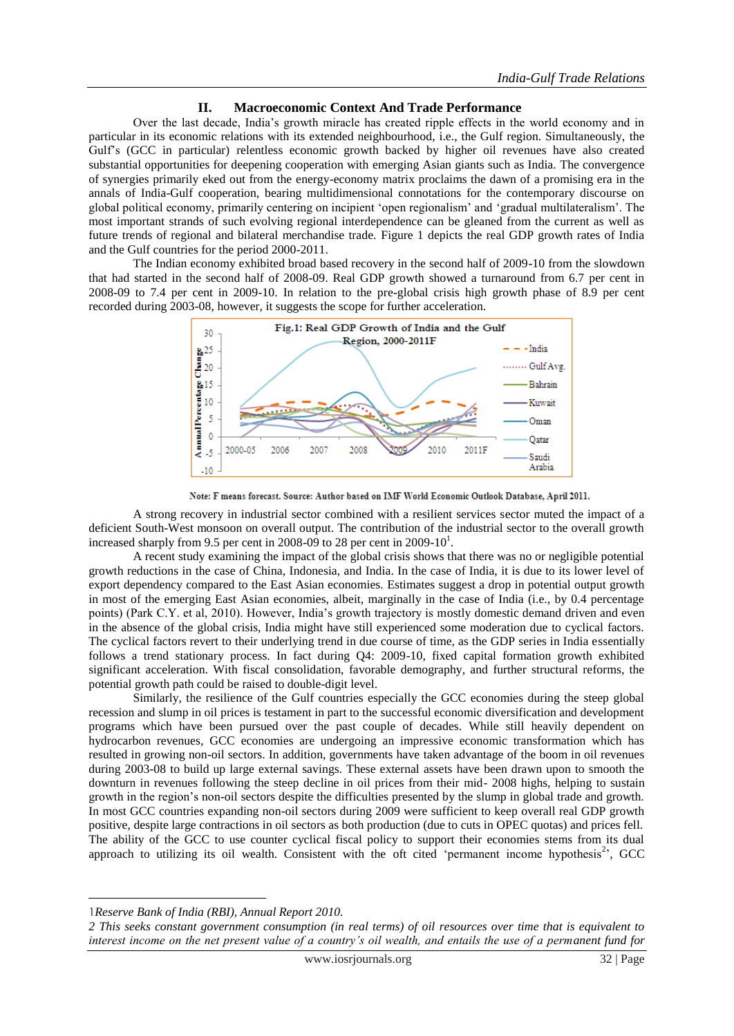### **II. Macroeconomic Context And Trade Performance**

Over the last decade, India"s growth miracle has created ripple effects in the world economy and in particular in its economic relations with its extended neighbourhood, i.e., the Gulf region. Simultaneously, the Gulf"s (GCC in particular) relentless economic growth backed by higher oil revenues have also created substantial opportunities for deepening cooperation with emerging Asian giants such as India. The convergence of synergies primarily eked out from the energy-economy matrix proclaims the dawn of a promising era in the annals of India-Gulf cooperation, bearing multidimensional connotations for the contemporary discourse on global political economy, primarily centering on incipient "open regionalism" and "gradual multilateralism". The most important strands of such evolving regional interdependence can be gleaned from the current as well as future trends of regional and bilateral merchandise trade. Figure 1 depicts the real GDP growth rates of India and the Gulf countries for the period 2000-2011.

The Indian economy exhibited broad based recovery in the second half of 2009-10 from the slowdown that had started in the second half of 2008-09. Real GDP growth showed a turnaround from 6.7 per cent in 2008-09 to 7.4 per cent in 2009-10. In relation to the pre-global crisis high growth phase of 8.9 per cent recorded during 2003-08, however, it suggests the scope for further acceleration.



Note: F means forecast. Source: Author based on IMF World Economic Outlook Database, April 2011.

A strong recovery in industrial sector combined with a resilient services sector muted the impact of a deficient South-West monsoon on overall output. The contribution of the industrial sector to the overall growth increased sharply from 9.5 per cent in 2008-09 to 28 per cent in 2009-10<sup>1</sup>.

A recent study examining the impact of the global crisis shows that there was no or negligible potential growth reductions in the case of China, Indonesia, and India. In the case of India, it is due to its lower level of export dependency compared to the East Asian economies. Estimates suggest a drop in potential output growth in most of the emerging East Asian economies, albeit, marginally in the case of India (i.e., by 0.4 percentage points) (Park C.Y. et al, 2010). However, India"s growth trajectory is mostly domestic demand driven and even in the absence of the global crisis, India might have still experienced some moderation due to cyclical factors. The cyclical factors revert to their underlying trend in due course of time, as the GDP series in India essentially follows a trend stationary process. In fact during Q4: 2009-10, fixed capital formation growth exhibited significant acceleration. With fiscal consolidation, favorable demography, and further structural reforms, the potential growth path could be raised to double-digit level.

Similarly, the resilience of the Gulf countries especially the GCC economies during the steep global recession and slump in oil prices is testament in part to the successful economic diversification and development programs which have been pursued over the past couple of decades. While still heavily dependent on hydrocarbon revenues, GCC economies are undergoing an impressive economic transformation which has resulted in growing non-oil sectors. In addition, governments have taken advantage of the boom in oil revenues during 2003-08 to build up large external savings. These external assets have been drawn upon to smooth the downturn in revenues following the steep decline in oil prices from their mid- 2008 highs, helping to sustain growth in the region"s non-oil sectors despite the difficulties presented by the slump in global trade and growth. In most GCC countries expanding non-oil sectors during 2009 were sufficient to keep overall real GDP growth positive, despite large contractions in oil sectors as both production (due to cuts in OPEC quotas) and prices fell. The ability of the GCC to use counter cyclical fiscal policy to support their economies stems from its dual approach to utilizing its oil wealth. Consistent with the oft cited 'permanent income hypothesis<sup>2</sup>', GCC

**.** 

<sup>1</sup>*Reserve Bank of India (RBI), Annual Report 2010.*

*<sup>2</sup> This seeks constant government consumption (in real terms) of oil resources over time that is equivalent to interest income on the net present value of a country's oil wealth, and entails the use of a permanent fund for*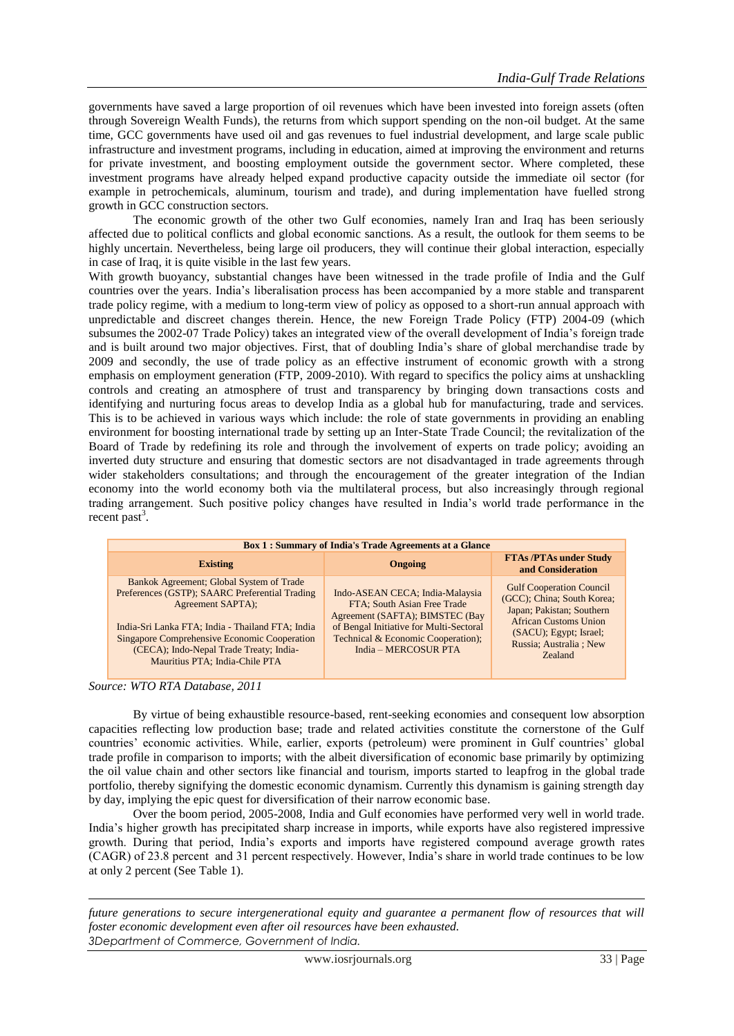governments have saved a large proportion of oil revenues which have been invested into foreign assets (often through Sovereign Wealth Funds), the returns from which support spending on the non-oil budget. At the same time, GCC governments have used oil and gas revenues to fuel industrial development, and large scale public infrastructure and investment programs, including in education, aimed at improving the environment and returns for private investment, and boosting employment outside the government sector. Where completed, these investment programs have already helped expand productive capacity outside the immediate oil sector (for example in petrochemicals, aluminum, tourism and trade), and during implementation have fuelled strong growth in GCC construction sectors.

The economic growth of the other two Gulf economies, namely Iran and Iraq has been seriously affected due to political conflicts and global economic sanctions. As a result, the outlook for them seems to be highly uncertain. Nevertheless, being large oil producers, they will continue their global interaction, especially in case of Iraq, it is quite visible in the last few years.

With growth buoyancy, substantial changes have been witnessed in the trade profile of India and the Gulf countries over the years. India"s liberalisation process has been accompanied by a more stable and transparent trade policy regime, with a medium to long-term view of policy as opposed to a short-run annual approach with unpredictable and discreet changes therein. Hence, the new Foreign Trade Policy (FTP) 2004-09 (which subsumes the 2002-07 Trade Policy) takes an integrated view of the overall development of India"s foreign trade and is built around two major objectives. First, that of doubling India"s share of global merchandise trade by 2009 and secondly, the use of trade policy as an effective instrument of economic growth with a strong emphasis on employment generation (FTP, 2009-2010). With regard to specifics the policy aims at unshackling controls and creating an atmosphere of trust and transparency by bringing down transactions costs and identifying and nurturing focus areas to develop India as a global hub for manufacturing, trade and services. This is to be achieved in various ways which include: the role of state governments in providing an enabling environment for boosting international trade by setting up an Inter-State Trade Council; the revitalization of the Board of Trade by redefining its role and through the involvement of experts on trade policy; avoiding an inverted duty structure and ensuring that domestic sectors are not disadvantaged in trade agreements through wider stakeholders consultations; and through the encouragement of the greater integration of the Indian economy into the world economy both via the multilateral process, but also increasingly through regional trading arrangement. Such positive policy changes have resulted in India"s world trade performance in the recent past<sup>3</sup>.

| <b>Box 1: Summary of India's Trade Agreements at a Glance</b>                                                                                                                                                                                                                                    |                                                                                                                                                                                                            |                                                                                                                                                                                                   |  |  |  |  |
|--------------------------------------------------------------------------------------------------------------------------------------------------------------------------------------------------------------------------------------------------------------------------------------------------|------------------------------------------------------------------------------------------------------------------------------------------------------------------------------------------------------------|---------------------------------------------------------------------------------------------------------------------------------------------------------------------------------------------------|--|--|--|--|
| <b>Existing</b>                                                                                                                                                                                                                                                                                  | Ongoing                                                                                                                                                                                                    | <b>FTAs/PTAs under Study</b><br>and Consideration                                                                                                                                                 |  |  |  |  |
| Bankok Agreement; Global System of Trade<br>Preferences (GSTP); SAARC Preferential Trading<br>Agreement SAPTA);<br>India-Sri Lanka FTA; India - Thailand FTA; India<br>Singapore Comprehensive Economic Cooperation<br>(CECA); Indo-Nepal Trade Treaty; India-<br>Mauritius PTA; India-Chile PTA | Indo-ASEAN CECA; India-Malaysia<br>FTA; South Asian Free Trade<br>Agreement (SAFTA); BIMSTEC (Bay<br>of Bengal Initiative for Multi-Sectoral<br>Technical & Economic Cooperation);<br>India - MERCOSUR PTA | <b>Gulf Cooperation Council</b><br>(GCC); China; South Korea;<br>Japan; Pakistan; Southern<br><b>African Customs Union</b><br>(SACU); Egypt; Israel;<br>Russia; Australia ; New<br><b>Zealand</b> |  |  |  |  |

#### *Source: WTO RTA Database, 2011*

**.** 

By virtue of being exhaustible resource-based, rent-seeking economies and consequent low absorption capacities reflecting low production base; trade and related activities constitute the cornerstone of the Gulf countries" economic activities. While, earlier, exports (petroleum) were prominent in Gulf countries" global trade profile in comparison to imports; with the albeit diversification of economic base primarily by optimizing the oil value chain and other sectors like financial and tourism, imports started to leapfrog in the global trade portfolio, thereby signifying the domestic economic dynamism. Currently this dynamism is gaining strength day by day, implying the epic quest for diversification of their narrow economic base.

Over the boom period, 2005-2008, India and Gulf economies have performed very well in world trade. India"s higher growth has precipitated sharp increase in imports, while exports have also registered impressive growth. During that period, India"s exports and imports have registered compound average growth rates (CAGR) of 23.8 percent and 31 percent respectively. However, India"s share in world trade continues to be low at only 2 percent (See Table 1).

*future generations to secure intergenerational equity and guarantee a permanent flow of resources that will foster economic development even after oil resources have been exhausted. 3Department of Commerce, Government of India.*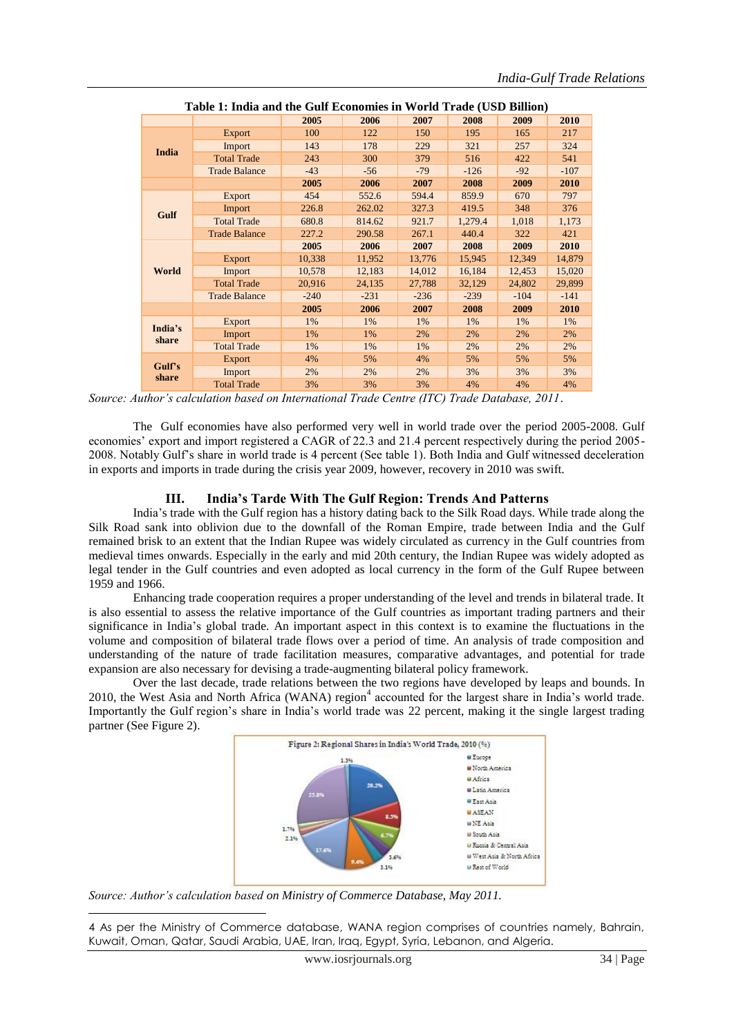| Table 1: India and the Gulf Economies in World Trade (USD Billion) |                      |        |        |        |         |        |        |
|--------------------------------------------------------------------|----------------------|--------|--------|--------|---------|--------|--------|
|                                                                    |                      | 2005   | 2006   | 2007   | 2008    | 2009   | 2010   |
|                                                                    | Export               | 100    | 122    | 150    | 195     | 165    | 217    |
| <b>India</b>                                                       | Import               | 143    | 178    | 229    | 321     | 257    | 324    |
|                                                                    | <b>Total Trade</b>   | 243    | 300    | 379    | 516     | 422    | 541    |
|                                                                    | <b>Trade Balance</b> | $-43$  | $-56$  | $-79$  | $-126$  | $-92$  | $-107$ |
|                                                                    |                      | 2005   | 2006   | 2007   | 2008    | 2009   | 2010   |
|                                                                    | <b>Export</b>        | 454    | 552.6  | 594.4  | 859.9   | 670    | 797    |
| Gulf                                                               | Import               | 226.8  | 262.02 | 327.3  | 419.5   | 348    | 376    |
|                                                                    | <b>Total Trade</b>   | 680.8  | 814.62 | 921.7  | 1,279.4 | 1,018  | 1,173  |
|                                                                    | <b>Trade Balance</b> | 227.2  | 290.58 | 267.1  | 440.4   | 322    | 421    |
|                                                                    |                      | 2005   | 2006   | 2007   | 2008    | 2009   | 2010   |
|                                                                    | Export               | 10,338 | 11,952 | 13,776 | 15,945  | 12,349 | 14,879 |
| World                                                              | Import               | 10,578 | 12,183 | 14,012 | 16,184  | 12,453 | 15,020 |
|                                                                    | <b>Total Trade</b>   | 20,916 | 24,135 | 27,788 | 32,129  | 24,802 | 29,899 |
|                                                                    | <b>Trade Balance</b> | $-240$ | $-231$ | $-236$ | $-239$  | $-104$ | $-141$ |
|                                                                    |                      | 2005   | 2006   | 2007   | 2008    | 2009   | 2010   |
| India's                                                            | <b>Export</b>        | 1%     | 1%     | 1%     | 1%      | 1%     | 1%     |
| share                                                              | Import               | 1%     | 1%     | 2%     | 2%      | 2%     | 2%     |
|                                                                    | <b>Total Trade</b>   | 1%     | 1%     | 1%     | 2%      | 2%     | 2%     |
| Gulf's                                                             | <b>Export</b>        | 4%     | 5%     | 4%     | 5%      | 5%     | 5%     |
| share                                                              | Import               | 2%     | 2%     | 2%     | 3%      | 3%     | 3%     |
|                                                                    | <b>Total Trade</b>   | 3%     | 3%     | 3%     | 4%      | 4%     | 4%     |

*Source: Author's calculation based on International Trade Centre (ITC) Trade Database, 2011*.

The Gulf economies have also performed very well in world trade over the period 2005-2008. Gulf economies" export and import registered a CAGR of 22.3 and 21.4 percent respectively during the period 2005- 2008. Notably Gulf"s share in world trade is 4 percent (See table 1). Both India and Gulf witnessed deceleration in exports and imports in trade during the crisis year 2009, however, recovery in 2010 was swift.

## **III. India's Tarde With The Gulf Region: Trends And Patterns**

India"s trade with the Gulf region has a history dating back to the Silk Road days. While trade along the Silk Road sank into oblivion due to the downfall of the Roman Empire, trade between India and the Gulf remained brisk to an extent that the Indian Rupee was widely circulated as currency in the Gulf countries from medieval times onwards. Especially in the early and mid 20th century, the Indian Rupee was widely adopted as legal tender in the Gulf countries and even adopted as local currency in the form of the Gulf Rupee between 1959 and 1966.

Enhancing trade cooperation requires a proper understanding of the level and trends in bilateral trade. It is also essential to assess the relative importance of the Gulf countries as important trading partners and their significance in India"s global trade. An important aspect in this context is to examine the fluctuations in the volume and composition of bilateral trade flows over a period of time. An analysis of trade composition and understanding of the nature of trade facilitation measures, comparative advantages, and potential for trade expansion are also necessary for devising a trade-augmenting bilateral policy framework.

Over the last decade, trade relations between the two regions have developed by leaps and bounds. In 2010, the West Asia and North Africa (WANA) region<sup>4</sup> accounted for the largest share in India's world trade. Importantly the Gulf region"s share in India"s world trade was 22 percent, making it the single largest trading partner (See Figure 2).



*Source: Author's calculation based on Ministry of Commerce Database, May 2011.*

**.** 

4 As per the Ministry of Commerce database, WANA region comprises of countries namely, Bahrain, Kuwait, Oman, Qatar, Saudi Arabia, UAE, Iran, Iraq, Egypt, Syria, Lebanon, and Algeria.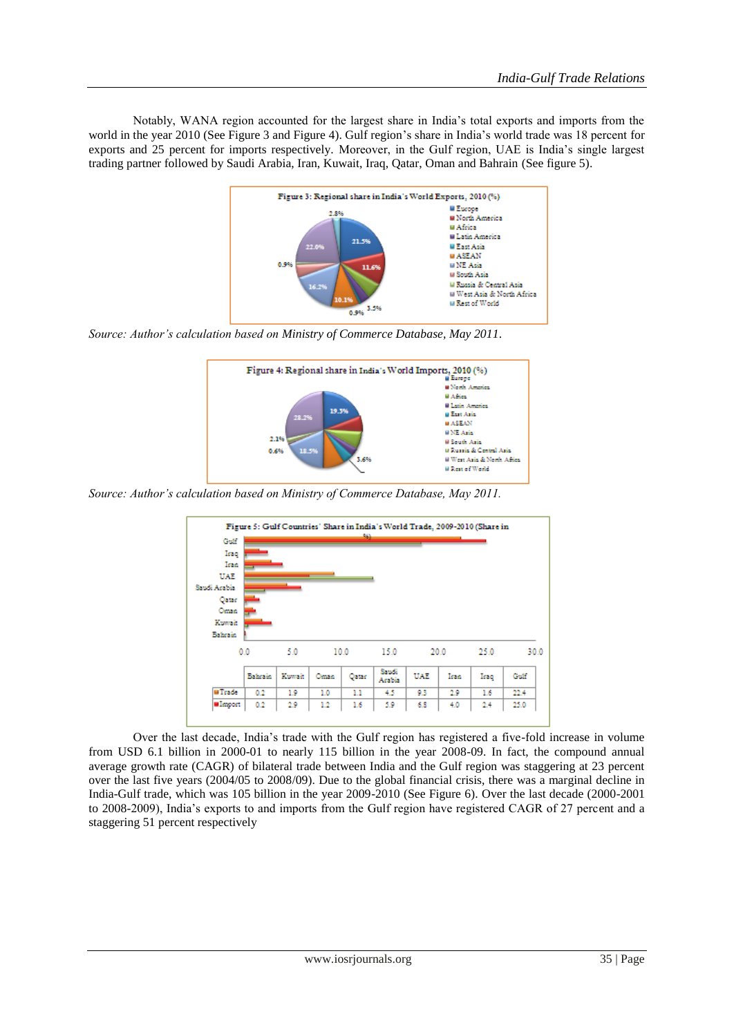Notably, WANA region accounted for the largest share in India"s total exports and imports from the world in the year 2010 (See Figure 3 and Figure 4). Gulf region's share in India's world trade was 18 percent for exports and 25 percent for imports respectively. Moreover, in the Gulf region, UAE is India"s single largest trading partner followed by Saudi Arabia, Iran, Kuwait, Iraq, Qatar, Oman and Bahrain (See figure 5).



*Source: Author's calculation based on Ministry of Commerce Database, May 2011*.



*Source: Author's calculation based on Ministry of Commerce Database, May 2011.*

| Gulf                  |         |       |      | -99   |                 |     |      |      |      |
|-----------------------|---------|-------|------|-------|-----------------|-----|------|------|------|
| Iraq                  |         |       |      |       |                 |     |      |      |      |
| Iran                  |         |       |      |       |                 |     |      |      |      |
| UAE                   |         |       |      |       |                 |     |      |      |      |
| Saudi Arabia<br>Qatar |         |       |      |       |                 |     |      |      |      |
| Onish                 |         |       |      |       |                 |     |      |      |      |
|                       |         |       |      |       |                 |     |      |      |      |
| Kowak                 |         |       |      |       |                 |     |      |      |      |
| Bahrain               |         |       |      |       |                 |     |      |      |      |
|                       | 0.0     | 5.0   |      | 10.0  | 15.0            |     | 20.0 | 25.0 | 30.0 |
|                       | Bahrain | Kowak | Oman | Qatar | Sandi<br>Arabia | UAE | Iran | Iraq | Gulf |
| <b>W</b> Trade        | 0.2     | 1.9   | 1.0  | Ш     | 4.5             | 9.3 | 2.9  | 1.6  | 22.4 |

Over the last decade, India"s trade with the Gulf region has registered a five-fold increase in volume from USD 6.1 billion in 2000-01 to nearly 115 billion in the year 2008-09. In fact, the compound annual average growth rate (CAGR) of bilateral trade between India and the Gulf region was staggering at 23 percent over the last five years (2004/05 to 2008/09). Due to the global financial crisis, there was a marginal decline in India-Gulf trade, which was 105 billion in the year 2009-2010 (See Figure 6). Over the last decade (2000-2001 to 2008-2009), India"s exports to and imports from the Gulf region have registered CAGR of 27 percent and a staggering 51 percent respectively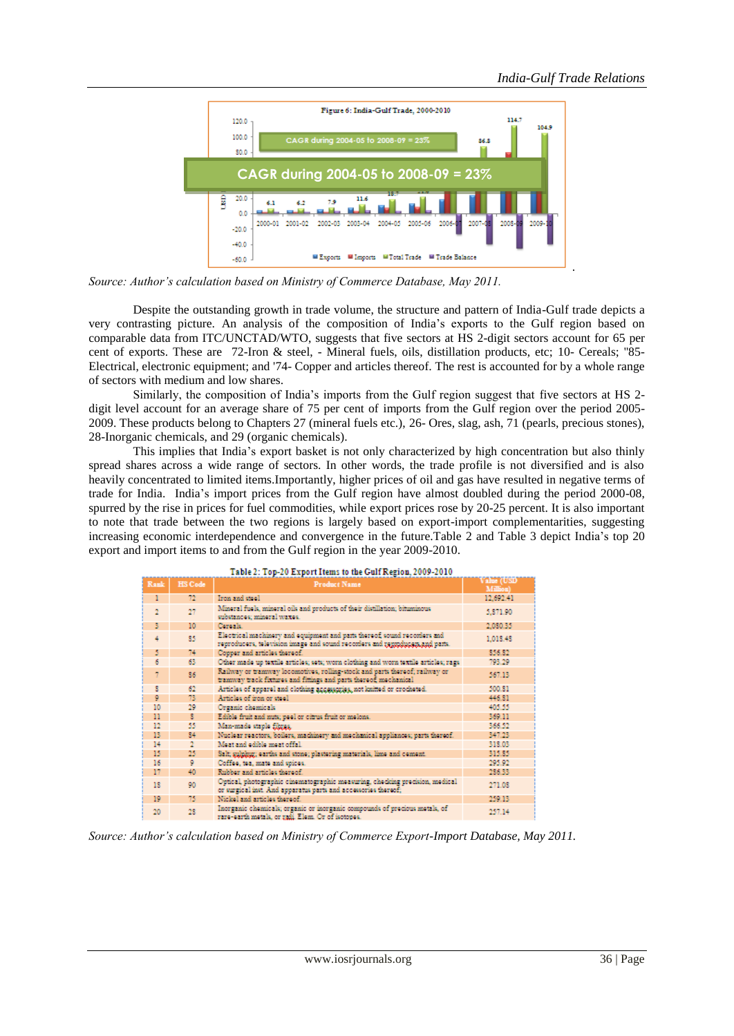

*Source: Author's calculation based on Ministry of Commerce Database, May 2011.*

Despite the outstanding growth in trade volume, the structure and pattern of India-Gulf trade depicts a very contrasting picture. An analysis of the composition of India"s exports to the Gulf region based on comparable data from ITC/UNCTAD/WTO, suggests that five sectors at HS 2-digit sectors account for 65 per cent of exports. These are 72-Iron & steel, - Mineral fuels, oils, distillation products, etc; 10- Cereals; "85-Electrical, electronic equipment; and '74- Copper and articles thereof. The rest is accounted for by a whole range of sectors with medium and low shares.

Similarly, the composition of India"s imports from the Gulf region suggest that five sectors at HS 2 digit level account for an average share of 75 per cent of imports from the Gulf region over the period 2005- 2009. These products belong to Chapters 27 (mineral fuels etc.), 26- Ores, slag, ash, 71 (pearls, precious stones), 28-Inorganic chemicals, and 29 (organic chemicals).

This implies that India"s export basket is not only characterized by high concentration but also thinly spread shares across a wide range of sectors. In other words, the trade profile is not diversified and is also heavily concentrated to limited items.Importantly, higher prices of oil and gas have resulted in negative terms of trade for India. India"s import prices from the Gulf region have almost doubled during the period 2000-08, spurred by the rise in prices for fuel commodities, while export prices rose by 20-25 percent. It is also important to note that trade between the two regions is largely based on export-import complementarities, suggesting increasing economic interdependence and convergence in the future.Table 2 and Table 3 depict India"s top 20 export and import items to and from the Gulf region in the year 2009-2010.

| Table 2: Top-20 Export Items to the Gulf Kegion, 2009-2010 |                |                                                                                                                                                           |                        |  |  |  |  |
|------------------------------------------------------------|----------------|-----------------------------------------------------------------------------------------------------------------------------------------------------------|------------------------|--|--|--|--|
| Rank                                                       | <b>HS</b> Code | <b>Product Name</b>                                                                                                                                       | Value (USD<br>Million) |  |  |  |  |
| ı                                                          | 72             | Iron and steel.                                                                                                                                           | 12.692.41              |  |  |  |  |
| $\overline{2}$                                             | $^{27}$        | Mineral fuels, mineral oils and products of their distillation; bituminous<br>substances; mineral waxes.                                                  | 5.871.90               |  |  |  |  |
| 3                                                          | 10             | Coroale.                                                                                                                                                  | 2.080.35               |  |  |  |  |
| 4                                                          | 85             | Electrical machinery and equipment and parts thereof, sound recorders and<br>reproducers, television image and sound recorders and reproducers and parts. | 1.018.48               |  |  |  |  |
| 5                                                          | 74             | Copper and articles thereof.                                                                                                                              | \$56.82                |  |  |  |  |
| 6                                                          | 63             | Other made up textile articles; sets; worn clothing and worn textile articles; rags                                                                       | 793.29                 |  |  |  |  |
|                                                            | 86             | Railway or trainway locomotives, rolling-stock and parts thereof; railway or<br>tramway track fixtures and fittings and parts thereof, mechanical         | 567.13                 |  |  |  |  |
| s                                                          | 62             | Articles of apparel and clothing accessories, not knitted or crocheted.                                                                                   | 500.81                 |  |  |  |  |
| 9                                                          | 73             | Articles of iron or steel.                                                                                                                                | 446.81                 |  |  |  |  |
| 10                                                         | 29             | Organic chemicals                                                                                                                                         | 405.55                 |  |  |  |  |
| п                                                          | s              | Edible fruit and nuts; peel or citrus fruit or melons.                                                                                                    | 369.11                 |  |  |  |  |
| 12                                                         | 55             | Man-made staple fibres.                                                                                                                                   | 366.52                 |  |  |  |  |
| 13                                                         | 84             | Nuclear reactors, boilers, machinery and mechanical appliances; parts thereof.                                                                            | 347.23                 |  |  |  |  |
| 14                                                         |                | Meat and edible meat offal.                                                                                                                               | 318.03                 |  |  |  |  |
| 15                                                         | 25             | Salt; sulphur; earths and stone; plastering materials, lime and cement.                                                                                   | 315.85                 |  |  |  |  |
| 16                                                         | 9              | Coffee, tea, mate and spices.                                                                                                                             | 295.92                 |  |  |  |  |
| 17                                                         | 40             | Rubber and articles thereof.                                                                                                                              | 286.33                 |  |  |  |  |
| 18                                                         | 90             | Optical, photographic cinematographic measuring, checking precision, medical<br>or surgical inst. And apparatus parts and accessories thereof;            | 271.08                 |  |  |  |  |
| 19                                                         | 75             | Nickel and articles thereof.                                                                                                                              | 259.13                 |  |  |  |  |
| 20                                                         | 28             | Inorganic chemicals; organic or inorganic compounds of precious metals, of<br>rare-earth metals, or rati. Elem. Or of isotopes,                           | 257.14                 |  |  |  |  |

#### ت د د د  $\sim$

*Source: Author's calculation based on Ministry of Commerce Export-Import Database, May 2011.*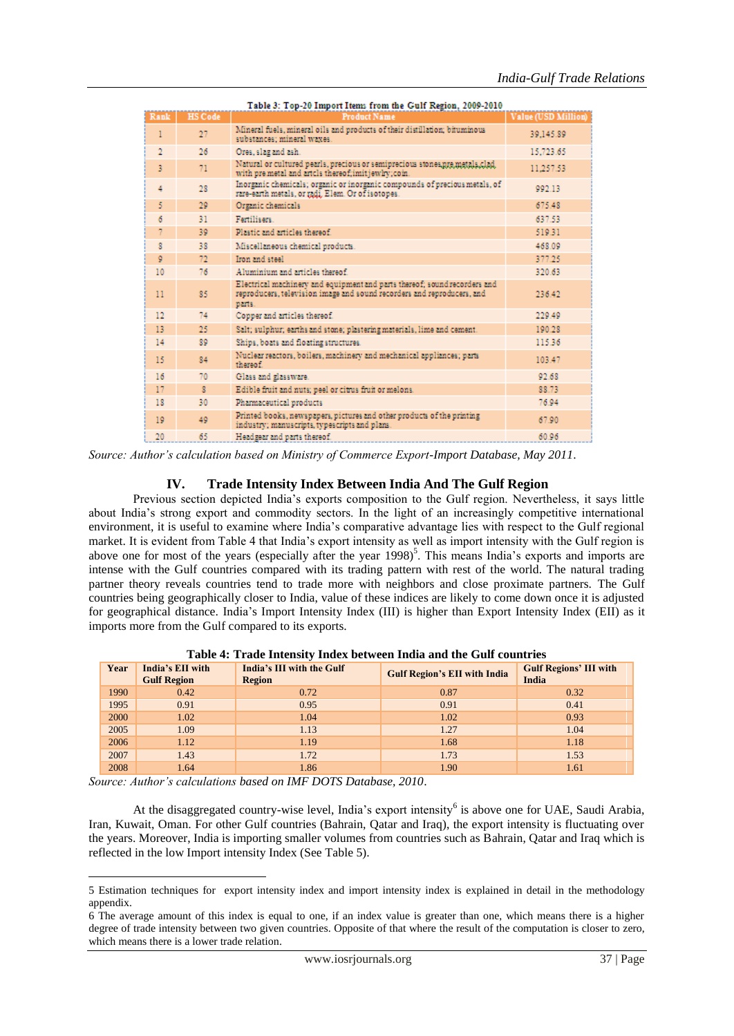| Table 3: Top-20 Import Items from the Gulf Region, 2009-2010 |                |                                                                                                                                                               |                            |  |  |  |  |
|--------------------------------------------------------------|----------------|---------------------------------------------------------------------------------------------------------------------------------------------------------------|----------------------------|--|--|--|--|
| Rank                                                         | <b>HS Code</b> | <b>Product Name</b>                                                                                                                                           | <b>Value (USD Million)</b> |  |  |  |  |
| 1                                                            | 27             | Mineral fuels, mineral oils and products of their distillation; bituminous<br>substances: mineral waxes.                                                      | 39.145.89                  |  |  |  |  |
| $\overline{2}$                                               | 26             | Ores, slag and ash.                                                                                                                                           | 15.723.65                  |  |  |  |  |
| $\overline{3}$                                               | 71             | Natural or cultured pearls, precious or semiprecious stones, pre metals, clad.<br>with premetal and artcls thereof:imitiewhy.com.                             | 11.257.53                  |  |  |  |  |
| 4                                                            | 28             | Inorganic chemicals; organic or inorganic compounds of precious metals, of<br>rare-earth metals, or radi. Elem. Or of isotopes.                               | 992.13                     |  |  |  |  |
| 5                                                            | 29             | Organic chemicals                                                                                                                                             | 675.48                     |  |  |  |  |
| 6                                                            | 31             | Familiaars.                                                                                                                                                   | 637.53                     |  |  |  |  |
|                                                              | 39             | Plastic and articles thereof.                                                                                                                                 | 519.31                     |  |  |  |  |
| я                                                            | 38             | Miscellaneous chemical products.                                                                                                                              | 468.09                     |  |  |  |  |
| ø                                                            | 72             | Iron and steel.                                                                                                                                               | 377.25                     |  |  |  |  |
| 10                                                           | 76             | Aluminium and articles thereof                                                                                                                                | 320.63                     |  |  |  |  |
| 11                                                           | 85             | Electrical machinery and equipment and parts thereof; sound recorders and<br>reproducers, television image and sound recorders and reproducers, and<br>parts. | 236.42                     |  |  |  |  |
| 12                                                           | 74             | Copper and articles thereof.                                                                                                                                  | 229.49                     |  |  |  |  |
| 13                                                           | 25             | Salt: sulphur; earths and stone; plastering materials, lime and cement.                                                                                       | 190.28                     |  |  |  |  |
| 14                                                           | 89             | Ships, boats and floating structures.                                                                                                                         | 115.36                     |  |  |  |  |
| 15                                                           | 84             | Nuclear reactors, boilers, machinery and mechanical appliances; parts<br>thereof                                                                              | 103.47                     |  |  |  |  |
| 16                                                           | 70             | Glass and glassware.                                                                                                                                          | 92.68                      |  |  |  |  |
| 17                                                           | $\mathbf{R}$   | Edible fruit and nuts; peel or citrus fruit or melons.                                                                                                        | 88.73                      |  |  |  |  |
| 18                                                           | 30             | Pharmaceutical products                                                                                                                                       | 76.94                      |  |  |  |  |
| 10                                                           | 40             | Printed books, newspapers, pictures and other products of the printing<br>industry; manuscripts, typescripts and plans.                                       | 67.90                      |  |  |  |  |
| 20                                                           | 65             | Headgear and parts thereof.                                                                                                                                   | 60.96                      |  |  |  |  |

*Source: Author's calculation based on Ministry of Commerce Export-Import Database, May 2011*.

#### **IV. Trade Intensity Index Between India And The Gulf Region**

Previous section depicted India"s exports composition to the Gulf region. Nevertheless, it says little about India"s strong export and commodity sectors. In the light of an increasingly competitive international environment, it is useful to examine where India"s comparative advantage lies with respect to the Gulf regional market. It is evident from Table 4 that India"s export intensity as well as import intensity with the Gulf region is above one for most of the years (especially after the year 1998)<sup>5</sup>. This means India's exports and imports are intense with the Gulf countries compared with its trading pattern with rest of the world. The natural trading partner theory reveals countries tend to trade more with neighbors and close proximate partners. The Gulf countries being geographically closer to India, value of these indices are likely to come down once it is adjusted for geographical distance. India"s Import Intensity Index (III) is higher than Export Intensity Index (EII) as it imports more from the Gulf compared to its exports.

| Year | India's EII with<br><b>Gulf Region</b> | India's III with the Gulf<br><b>Region</b> | <b>Gulf Region's EII with India</b> | <b>Gulf Regions' III with</b><br>India |
|------|----------------------------------------|--------------------------------------------|-------------------------------------|----------------------------------------|
| 1990 | 0.42                                   | 0.72                                       | 0.87                                | 0.32                                   |
| 1995 | 0.91                                   | 0.95                                       | 0.91                                | 0.41                                   |
| 2000 | 1.02                                   | 1.04                                       | 1.02                                | 0.93                                   |
| 2005 | 1.09                                   | 1.13                                       | 1.27                                | 1.04                                   |
| 2006 | 1.12                                   | 1.19                                       | 1.68                                | 1.18                                   |
| 2007 | 1.43                                   | 1.72                                       | 1.73                                | 1.53                                   |
| 2008 | 1.64                                   | 1.86                                       | 1.90                                | 1.61                                   |

**Table 4: Trade Intensity Index between India and the Gulf countries**

*Source: Author's calculations based on IMF DOTS Database, 2010*.

**.** 

At the disaggregated country-wise level, India's export intensity<sup>6</sup> is above one for UAE, Saudi Arabia, Iran, Kuwait, Oman. For other Gulf countries (Bahrain, Qatar and Iraq), the export intensity is fluctuating over the years. Moreover, India is importing smaller volumes from countries such as Bahrain, Qatar and Iraq which is reflected in the low Import intensity Index (See Table 5).

<sup>5</sup> Estimation techniques for export intensity index and import intensity index is explained in detail in the methodology appendix.

<sup>6</sup> The average amount of this index is equal to one, if an index value is greater than one, which means there is a higher degree of trade intensity between two given countries. Opposite of that where the result of the computation is closer to zero, which means there is a lower trade relation.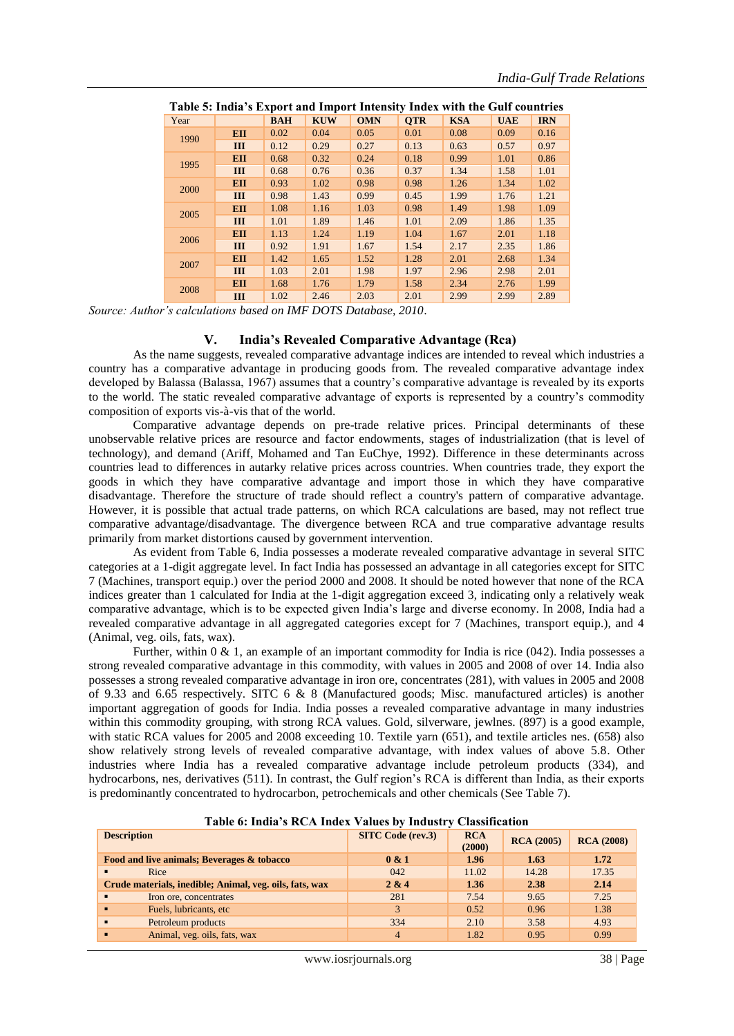| Table 5: India's Export and Import Intensity Index with the Gulf countries |            |            |            |            |            |            |            |            |
|----------------------------------------------------------------------------|------------|------------|------------|------------|------------|------------|------------|------------|
| Year                                                                       |            | <b>BAH</b> | <b>KUW</b> | <b>OMN</b> | <b>OTR</b> | <b>KSA</b> | <b>UAE</b> | <b>IRN</b> |
| 1990                                                                       | <b>EII</b> | 0.02       | 0.04       | 0.05       | 0.01       | 0.08       | 0.09       | 0.16       |
|                                                                            | III        | 0.12       | 0.29       | 0.27       | 0.13       | 0.63       | 0.57       | 0.97       |
| 1995                                                                       | <b>EII</b> | 0.68       | 0.32       | 0.24       | 0.18       | 0.99       | 1.01       | 0.86       |
|                                                                            | Ш          | 0.68       | 0.76       | 0.36       | 0.37       | 1.34       | 1.58       | 1.01       |
| 2000                                                                       | <b>EII</b> | 0.93       | 1.02       | 0.98       | 0.98       | 1.26       | 1.34       | 1.02       |
|                                                                            | Ш          | 0.98       | 1.43       | 0.99       | 0.45       | 1.99       | 1.76       | 1.21       |
| 2005                                                                       | <b>EII</b> | 1.08       | 1.16       | 1.03       | 0.98       | 1.49       | 1.98       | 1.09       |
|                                                                            | III        | 1.01       | 1.89       | 1.46       | 1.01       | 2.09       | 1.86       | 1.35       |
| 2006                                                                       | <b>EII</b> | 1.13       | 1.24       | 1.19       | 1.04       | 1.67       | 2.01       | 1.18       |
|                                                                            | III        | 0.92       | 1.91       | 1.67       | 1.54       | 2.17       | 2.35       | 1.86       |
| 2007                                                                       | <b>EII</b> | 1.42       | 1.65       | 1.52       | 1.28       | 2.01       | 2.68       | 1.34       |
|                                                                            | III        | 1.03       | 2.01       | 1.98       | 1.97       | 2.96       | 2.98       | 2.01       |
|                                                                            | <b>EII</b> | 1.68       | 1.76       | 1.79       | 1.58       | 2.34       | 2.76       | 1.99       |
| 2008                                                                       | III        | 1.02       | 2.46       | 2.03       | 2.01       | 2.99       | 2.99       | 2.89       |

|      | Table 5: India's Export and Import Intensity Index with the Gulf countries |     |  |                 |                  |  |
|------|----------------------------------------------------------------------------|-----|--|-----------------|------------------|--|
| Year |                                                                            | BAH |  | KUW OMN OTR KSA | <b>I</b> UAE IRN |  |

*Source: Author's calculations based on IMF DOTS Database, 2010*.

#### **V. India's Revealed Comparative Advantage (Rca)**

As the name suggests, revealed comparative advantage indices are intended to reveal which industries a country has a comparative advantage in producing goods from. The revealed comparative advantage index developed by Balassa (Balassa, 1967) assumes that a country"s comparative advantage is revealed by its exports to the world. The static revealed comparative advantage of exports is represented by a country"s commodity composition of exports vis-à-vis that of the world.

Comparative advantage depends on pre-trade relative prices. Principal determinants of these unobservable relative prices are resource and factor endowments, stages of industrialization (that is level of technology), and demand (Ariff, Mohamed and Tan EuChye, 1992). Difference in these determinants across countries lead to differences in autarky relative prices across countries. When countries trade, they export the goods in which they have comparative advantage and import those in which they have comparative disadvantage. Therefore the structure of trade should reflect a country's pattern of comparative advantage. However, it is possible that actual trade patterns, on which RCA calculations are based, may not reflect true comparative advantage/disadvantage. The divergence between RCA and true comparative advantage results primarily from market distortions caused by government intervention.

As evident from Table 6, India possesses a moderate revealed comparative advantage in several SITC categories at a 1-digit aggregate level. In fact India has possessed an advantage in all categories except for SITC 7 (Machines, transport equip.) over the period 2000 and 2008. It should be noted however that none of the RCA indices greater than 1 calculated for India at the 1-digit aggregation exceed 3, indicating only a relatively weak comparative advantage, which is to be expected given India"s large and diverse economy. In 2008, India had a revealed comparative advantage in all aggregated categories except for 7 (Machines, transport equip.), and 4 (Animal, veg. oils, fats, wax).

Further, within 0 & 1, an example of an important commodity for India is rice (042). India possesses a strong revealed comparative advantage in this commodity, with values in 2005 and 2008 of over 14. India also possesses a strong revealed comparative advantage in iron ore, concentrates (281), with values in 2005 and 2008 of 9.33 and 6.65 respectively. SITC 6 & 8 (Manufactured goods; Misc. manufactured articles) is another important aggregation of goods for India. India posses a revealed comparative advantage in many industries within this commodity grouping, with strong RCA values. Gold, silverware, jewlnes. (897) is a good example, with static RCA values for 2005 and 2008 exceeding 10. Textile yarn (651), and textile articles nes. (658) also show relatively strong levels of revealed comparative advantage, with index values of above 5.8. Other industries where India has a revealed comparative advantage include petroleum products (334), and hydrocarbons, nes, derivatives (511). In contrast, the Gulf region's RCA is different than India, as their exports is predominantly concentrated to hydrocarbon, petrochemicals and other chemicals (See Table 7).

| Table 6: India's RCA Index Values by Industry Classification |                          |                      |                   |                   |  |  |  |
|--------------------------------------------------------------|--------------------------|----------------------|-------------------|-------------------|--|--|--|
| <b>Description</b>                                           | <b>SITC Code (rev.3)</b> | <b>RCA</b><br>(2000) | <b>RCA</b> (2005) | <b>RCA</b> (2008) |  |  |  |
| Food and live animals; Beverages & tobacco                   | 0 & 1                    | 1.96                 | 1.63              | 1.72              |  |  |  |
| Rice                                                         | 042                      | 11.02                | 14.28             | 17.35             |  |  |  |
| Crude materials, inedible; Animal, veg. oils, fats, wax      | 2 & 4                    | 1.36                 | 2.38              | 2.14              |  |  |  |
| Iron ore, concentrates<br>$\blacksquare$                     | 281                      | 7.54                 | 9.65              | 7.25              |  |  |  |
| Fuels, lubricants, etc.                                      | 3                        | 0.52                 | 0.96              | 1.38              |  |  |  |
| Petroleum products<br>$\blacksquare$                         | 334                      | 2.10                 | 3.58              | 4.93              |  |  |  |
| Animal, yeg. oils, fats, wax<br>п                            | 4                        | 1.82                 | 0.95              | 0.99              |  |  |  |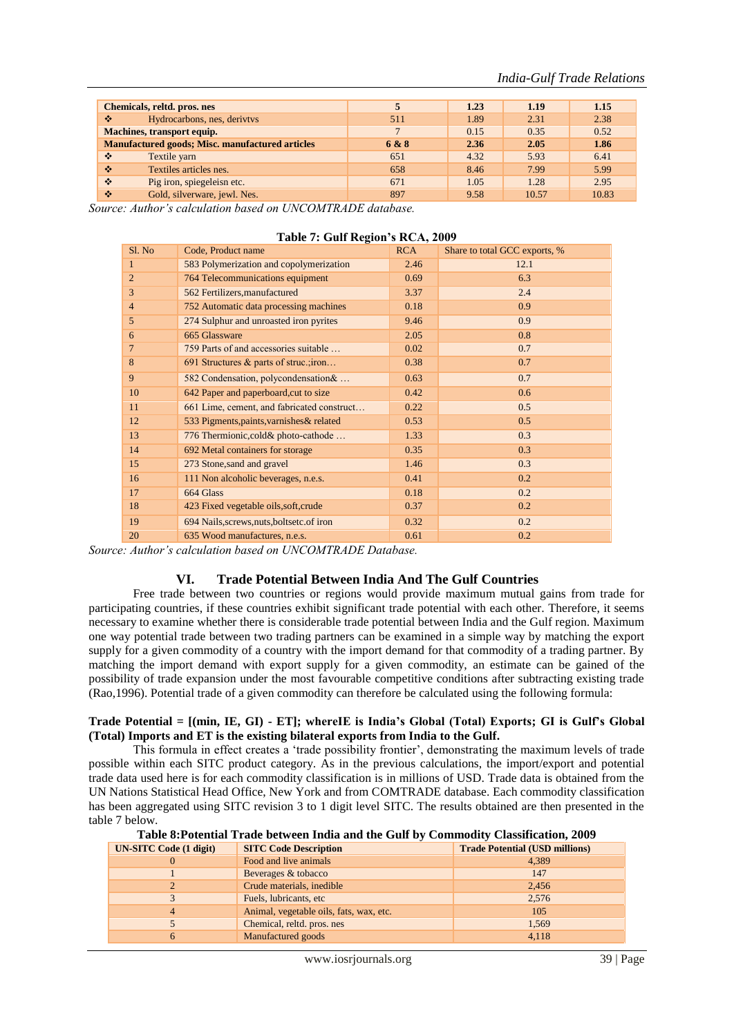|                                                        | <b>Chemicals, reltd. pros. nes</b> |       | 1.23 | 1.19  | 1.15  |
|--------------------------------------------------------|------------------------------------|-------|------|-------|-------|
| ❖                                                      | Hydrocarbons, nes, derivtys        | 511   | 1.89 | 2.31  | 2.38  |
|                                                        | <b>Machines, transport equip.</b>  |       | 0.15 | 0.35  | 0.52  |
| <b>Manufactured goods; Misc. manufactured articles</b> |                                    | 6 & 8 | 2.36 | 2.05  | 1.86  |
| ❖                                                      | Textile yarn                       | 651   | 4.32 | 5.93  | 6.41  |
| ❖                                                      | Textiles articles nes.             | 658   | 8.46 | 7.99  | 5.99  |
| ❖                                                      | Pig iron, spiegeleisn etc.         | 671   | 1.05 | 1.28  | 2.95  |
| ❖                                                      | Gold, silverware, jewl. Nes.       | 897   | 9.58 | 10.57 | 10.83 |

*Source: Author's calculation based on UNCOMTRADE database.*

| $14000 \t{1}$ . Oull inequal 3 next, $2007$ |                                            |            |                               |  |  |  |
|---------------------------------------------|--------------------------------------------|------------|-------------------------------|--|--|--|
| Sl. No                                      | Code, Product name                         | <b>RCA</b> | Share to total GCC exports, % |  |  |  |
| 1                                           | 583 Polymerization and copolymerization    | 2.46       | 12.1                          |  |  |  |
| $\overline{2}$                              | 764 Telecommunications equipment           | 0.69       | 6.3                           |  |  |  |
| $\overline{3}$                              | 562 Fertilizers, manufactured              | 3.37       | 2.4                           |  |  |  |
| $\overline{4}$                              | 752 Automatic data processing machines     | 0.18       | 0.9                           |  |  |  |
| 5                                           | 274 Sulphur and unroasted iron pyrites     | 9.46       | 0.9                           |  |  |  |
| 6                                           | 665 Glassware                              | 2.05       | 0.8                           |  |  |  |
| 7                                           | 759 Parts of and accessories suitable      | 0.02       | 0.7                           |  |  |  |
| 8                                           | 691 Structures & parts of struc.; iron     | 0.38       | 0.7                           |  |  |  |
| 9                                           | 582 Condensation, polycondensation &       | 0.63       | 0.7                           |  |  |  |
| 10                                          | 642 Paper and paperboard, cut to size      | 0.42       | 0.6                           |  |  |  |
| 11                                          | 661 Lime, cement, and fabricated construct | 0.22       | 0.5                           |  |  |  |
| 12                                          | 533 Pigments, paints, varnishes & related  | 0.53       | 0.5                           |  |  |  |
| 13                                          | 776 Thermionic, cold & photo-cathode       | 1.33       | 0.3                           |  |  |  |
| 14                                          | 692 Metal containers for storage           | 0.35       | 0.3                           |  |  |  |
| 15                                          | 273 Stone, sand and gravel                 | 1.46       | 0.3                           |  |  |  |
| 16                                          | 111 Non alcoholic beverages, n.e.s.        | 0.41       | 0.2                           |  |  |  |
| 17                                          | 664 Glass                                  | 0.18       | 0.2                           |  |  |  |
| 18                                          | 423 Fixed vegetable oils, soft, crude      | 0.37       | 0.2                           |  |  |  |
| 19                                          | 694 Nails, screws, nuts, boltsetc. of iron | 0.32       | 0.2                           |  |  |  |
| 20                                          | 635 Wood manufactures, n.e.s.              | 0.61       | 0.2                           |  |  |  |

#### **Table 7: Gulf Region's RCA, 2009**

*Source: Author's calculation based on UNCOMTRADE Database.*

#### **VI. Trade Potential Between India And The Gulf Countries**

Free trade between two countries or regions would provide maximum mutual gains from trade for participating countries, if these countries exhibit significant trade potential with each other. Therefore, it seems necessary to examine whether there is considerable trade potential between India and the Gulf region. Maximum one way potential trade between two trading partners can be examined in a simple way by matching the export supply for a given commodity of a country with the import demand for that commodity of a trading partner. By matching the import demand with export supply for a given commodity, an estimate can be gained of the possibility of trade expansion under the most favourable competitive conditions after subtracting existing trade (Rao,1996). Potential trade of a given commodity can therefore be calculated using the following formula:

#### **Trade Potential = [(min, IE, GI) - ET]; whereIE is India's Global (Total) Exports; GI is Gulf's Global (Total) Imports and ET is the existing bilateral exports from India to the Gulf.**

This formula in effect creates a "trade possibility frontier", demonstrating the maximum levels of trade possible within each SITC product category. As in the previous calculations, the import/export and potential trade data used here is for each commodity classification is in millions of USD. Trade data is obtained from the UN Nations Statistical Head Office, New York and from COMTRADE database. Each commodity classification has been aggregated using SITC revision 3 to 1 digit level SITC. The results obtained are then presented in the table 7 below.

**Table 8:Potential Trade between India and the Gulf by Commodity Classification, 2009**

| <b>UN-SITC Code (1 digit)</b> | <b>SITC Code Description</b>            | <b>Trade Potential (USD millions)</b> |
|-------------------------------|-----------------------------------------|---------------------------------------|
|                               | Food and live animals                   | 4,389                                 |
|                               | Beverages & tobacco                     | 147                                   |
|                               | Crude materials, inedible               | 2,456                                 |
|                               | Fuels, lubricants, etc.                 | 2,576                                 |
|                               | Animal, vegetable oils, fats, wax, etc. | 105                                   |
|                               | Chemical, reltd. pros. nes              | 1,569                                 |
|                               | Manufactured goods                      | 4,118                                 |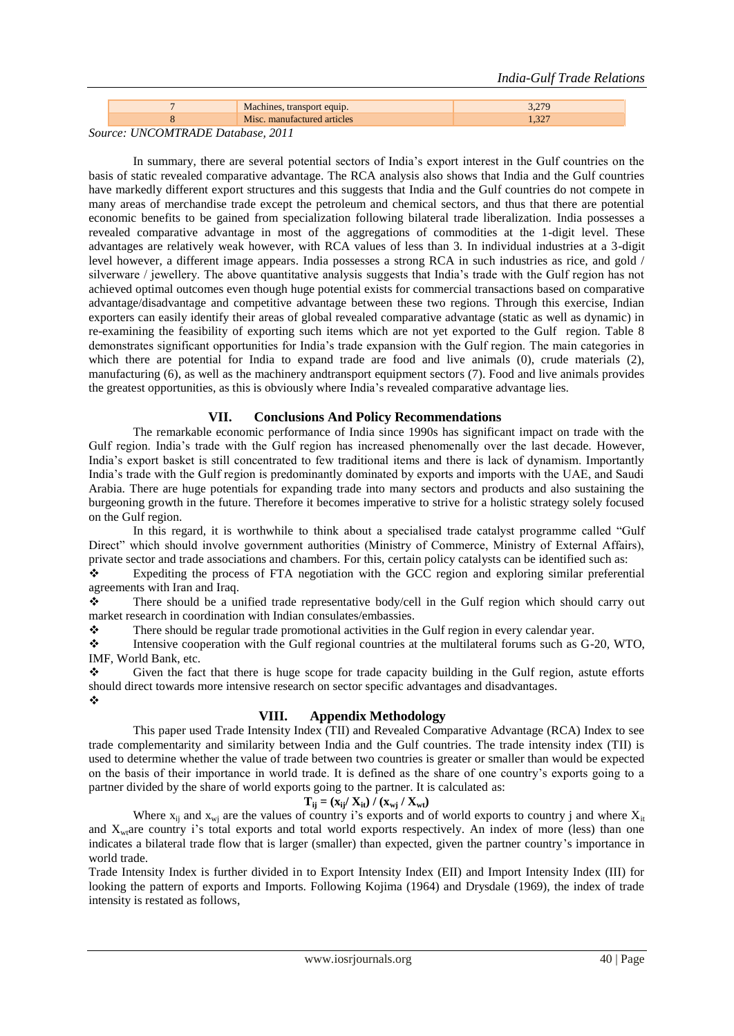|                                                                                                    |  | Machines, transport equip.  |  |
|----------------------------------------------------------------------------------------------------|--|-----------------------------|--|
|                                                                                                    |  | Misc. manufactured articles |  |
| $\alpha$ $\mu$ $\alpha\lambda$ $\alpha\lambda$ $\alpha$ $\beta$ $\alpha$ $\alpha$ $\beta$ $\alpha$ |  |                             |  |

#### *Source: UNCOMTRADE Database, 2011*

In summary, there are several potential sectors of India"s export interest in the Gulf countries on the basis of static revealed comparative advantage. The RCA analysis also shows that India and the Gulf countries have markedly different export structures and this suggests that India and the Gulf countries do not compete in many areas of merchandise trade except the petroleum and chemical sectors, and thus that there are potential economic benefits to be gained from specialization following bilateral trade liberalization. India possesses a revealed comparative advantage in most of the aggregations of commodities at the 1-digit level. These advantages are relatively weak however, with RCA values of less than 3. In individual industries at a 3-digit level however, a different image appears. India possesses a strong RCA in such industries as rice, and gold / silverware / jewellery. The above quantitative analysis suggests that India's trade with the Gulf region has not achieved optimal outcomes even though huge potential exists for commercial transactions based on comparative advantage/disadvantage and competitive advantage between these two regions. Through this exercise, Indian exporters can easily identify their areas of global revealed comparative advantage (static as well as dynamic) in re-examining the feasibility of exporting such items which are not yet exported to the Gulf region. Table 8 demonstrates significant opportunities for India"s trade expansion with the Gulf region. The main categories in which there are potential for India to expand trade are food and live animals (0), crude materials (2), manufacturing (6), as well as the machinery andtransport equipment sectors (7). Food and live animals provides the greatest opportunities, as this is obviously where India"s revealed comparative advantage lies.

#### **VII. Conclusions And Policy Recommendations**

The remarkable economic performance of India since 1990s has significant impact on trade with the Gulf region. India"s trade with the Gulf region has increased phenomenally over the last decade. However, India"s export basket is still concentrated to few traditional items and there is lack of dynamism. Importantly India"s trade with the Gulf region is predominantly dominated by exports and imports with the UAE, and Saudi Arabia. There are huge potentials for expanding trade into many sectors and products and also sustaining the burgeoning growth in the future. Therefore it becomes imperative to strive for a holistic strategy solely focused on the Gulf region.

In this regard, it is worthwhile to think about a specialised trade catalyst programme called "Gulf Direct" which should involve government authorities (Ministry of Commerce, Ministry of External Affairs), private sector and trade associations and chambers. For this, certain policy catalysts can be identified such as:

 Expediting the process of FTA negotiation with the GCC region and exploring similar preferential agreements with Iran and Iraq.

 There should be a unified trade representative body/cell in the Gulf region which should carry out market research in coordination with Indian consulates/embassies.

There should be regular trade promotional activities in the Gulf region in every calendar year.<br>Intensive cooperation with the Gulf regional countries at the multilateral forums such as  $G<sup>2</sup>$ 

 Intensive cooperation with the Gulf regional countries at the multilateral forums such as G-20, WTO, IMF, World Bank, etc.

 Given the fact that there is huge scope for trade capacity building in the Gulf region, astute efforts should direct towards more intensive research on sector specific advantages and disadvantages. ❖

### **VIII. Appendix Methodology**

This paper used Trade Intensity Index (TII) and Revealed Comparative Advantage (RCA) Index to see trade complementarity and similarity between India and the Gulf countries. The trade intensity index (TII) is used to determine whether the value of trade between two countries is greater or smaller than would be expected on the basis of their importance in world trade. It is defined as the share of one country"s exports going to a partner divided by the share of world exports going to the partner. It is calculated as:

#### $T_{ij} = (x_{ij}/ X_{it}) / (x_{wi}/ X_{wt})$

Where  $x_{ii}$  and  $x_{wi}$  are the values of country i's exports and of world exports to country j and where  $X_{it}$ and  $X_{w}$  are country i's total exports and total world exports respectively. An index of more (less) than one indicates a bilateral trade flow that is larger (smaller) than expected, given the partner country's importance in world trade.

Trade Intensity Index is further divided in to Export Intensity Index (EII) and Import Intensity Index (III) for looking the pattern of exports and Imports. Following Kojima (1964) and Drysdale (1969), the index of trade intensity is restated as follows,